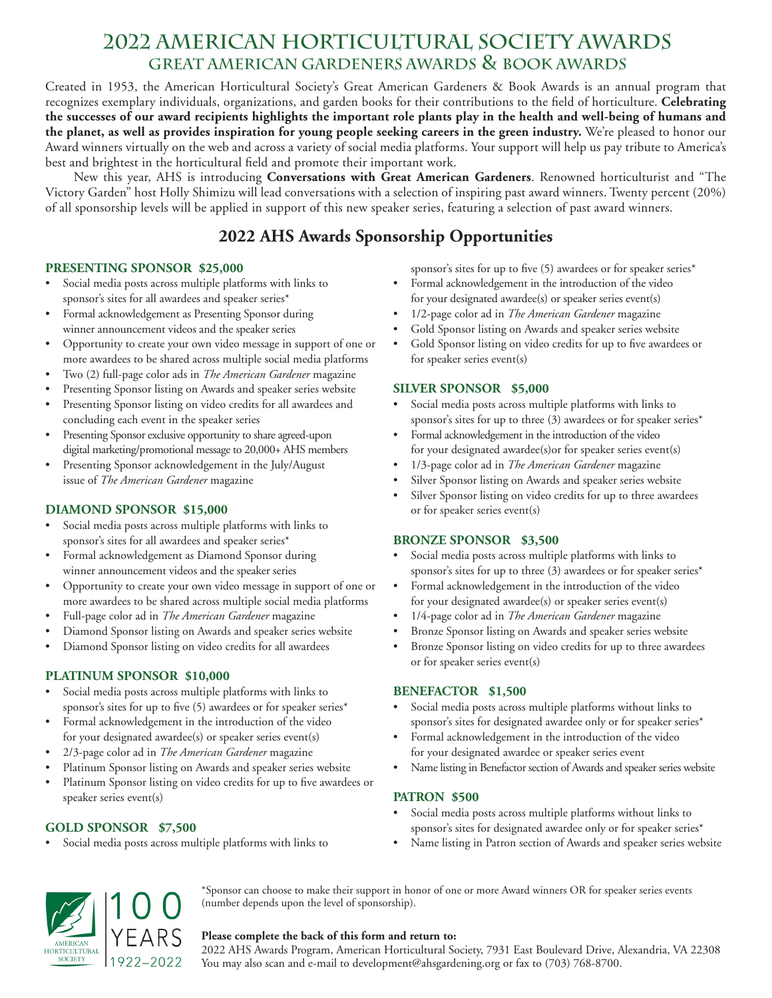# **2022 american horticultural society AWARDS great american gardeners awards & book aWARDS**

Created in 1953, the American Horticultural Society's Great American Gardeners & Book Awards is an annual program that recognizes exemplary individuals, organizations, and garden books for their contributions to the field of horticulture. **Celebrating the successes of our award recipients highlights the important role plants play in the health and well-being of humans and the planet, as well as provides inspiration for young people seeking careers in the green industry.** We're pleased to honor our Award winners virtually on the web and across a variety of social media platforms. Your support will help us pay tribute to America's best and brightest in the horticultural field and promote their important work.

New this year, AHS is introducing **Conversations with Great American Gardeners**. Renowned horticulturist and "The Victory Garden" host Holly Shimizu will lead conversations with a selection of inspiring past award winners. Twenty percent (20%) of all sponsorship levels will be applied in support of this new speaker series, featuring a selection of past award winners.

## **2022 AHS Awards Sponsorship Opportunities**

## **PRESENTING SPONSOR \$25,000**

- Social media posts across multiple platforms with links to sponsor's sites for all awardees and speaker series\*
- Formal acknowledgement as Presenting Sponsor during winner announcement videos and the speaker series
- Opportunity to create your own video message in support of one or more awardees to be shared across multiple social media platforms
- Two (2) full-page color ads in *The American Gardener* magazine
- Presenting Sponsor listing on Awards and speaker series website
- Presenting Sponsor listing on video credits for all awardees and concluding each event in the speaker series
- Presenting Sponsor exclusive opportunity to share agreed-upon digital marketing/promotional message to 20,000+ AHS members
- Presenting Sponsor acknowledgement in the July/August issue of *The American Gardener* magazine

## **DIAMOND SPONSOR \$15,000**

- Social media posts across multiple platforms with links to sponsor's sites for all awardees and speaker series\*
- Formal acknowledgement as Diamond Sponsor during winner announcement videos and the speaker series
- Opportunity to create your own video message in support of one or more awardees to be shared across multiple social media platforms
- Full-page color ad in *The American Gardener* magazine
- Diamond Sponsor listing on Awards and speaker series website
- Diamond Sponsor listing on video credits for all awardees

## **PLATINUM SPONSOR \$10,000**

- Social media posts across multiple platforms with links to sponsor's sites for up to five (5) awardees or for speaker series\*
- Formal acknowledgement in the introduction of the video for your designated awardee(s) or speaker series event(s)
- 2/3-page color ad in *The American Gardener* magazine
- Platinum Sponsor listing on Awards and speaker series website
- Platinum Sponsor listing on video credits for up to five awardees or speaker series event(s)

## **GOLD SPONSOR \$7,500**

Social media posts across multiple platforms with links to

sponsor's sites for up to five (5) awardees or for speaker series\*

- Formal acknowledgement in the introduction of the video for your designated awardee(s) or speaker series event(s)
- 1/2-page color ad in *The American Gardener* magazine
- Gold Sponsor listing on Awards and speaker series website
- Gold Sponsor listing on video credits for up to five awardees or for speaker series event(s)

### **SILVER SPONSOR \$5,000**

- Social media posts across multiple platforms with links to sponsor's sites for up to three (3) awardees or for speaker series\*
- Formal acknowledgement in the introduction of the video for your designated awardee(s)or for speaker series event(s)
- 1/3-page color ad in *The American Gardener* magazine
- Silver Sponsor listing on Awards and speaker series website
- Silver Sponsor listing on video credits for up to three awardees or for speaker series event(s)

## **BRONZE SPONSOR \$3,500**

- Social media posts across multiple platforms with links to sponsor's sites for up to three (3) awardees or for speaker series\*
- Formal acknowledgement in the introduction of the video for your designated awardee(s) or speaker series event(s)
- 1/4-page color ad in *The American Gardener* magazine
- Bronze Sponsor listing on Awards and speaker series website
- Bronze Sponsor listing on video credits for up to three awardees or for speaker series event(s)

#### **BENEFACTOR \$1,500**

- Social media posts across multiple platforms without links to sponsor's sites for designated awardee only or for speaker series\*
- Formal acknowledgement in the introduction of the video for your designated awardee or speaker series event
- Name listing in Benefactor section of Awards and speaker series website

## **PATRON \$500**

- Social media posts across multiple platforms without links to sponsor's sites for designated awardee only or for speaker series\*
- Name listing in Patron section of Awards and speaker series website



#### **Please complete the back of this form and return to:**

(number depends upon the level of sponsorship).

2022 AHS Awards Program, American Horticultural Society, 7931 East Boulevard Drive, Alexandria, VA 22308 You may also scan and e-mail to development@ahsgardening.org or fax to (703) 768-8700.

\*Sponsor can choose to make their support in honor of one or more Award winners OR for speaker series events